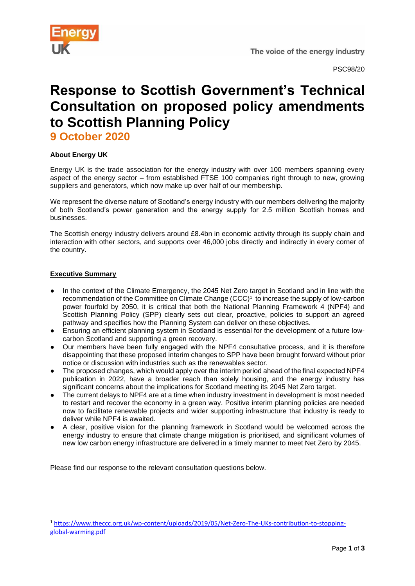

# **Response to Scottish Government's Technical Consultation on proposed policy amendments to Scottish Planning Policy**

**9 October 2020**

## **About Energy UK**

Energy UK is the trade association for the energy industry with over 100 members spanning every aspect of the energy sector – from established FTSE 100 companies right through to new, growing suppliers and generators, which now make up over half of our membership.

We represent the diverse nature of Scotland's energy industry with our members delivering the majority of both Scotland's power generation and the energy supply for 2.5 million Scottish homes and businesses.

The Scottish energy industry delivers around £8.4bn in economic activity through its supply chain and interaction with other sectors, and supports over 46,000 jobs directly and indirectly in every corner of the country.

## **Executive Summary**

- In the context of the Climate Emergency, the 2045 Net Zero target in Scotland and in line with the recommendation of the Committee on Climate Change (CCC)<sup>1</sup> to increase the supply of low-carbon power fourfold by 2050, it is critical that both the National Planning Framework 4 (NPF4) and Scottish Planning Policy (SPP) clearly sets out clear, proactive, policies to support an agreed pathway and specifies how the Planning System can deliver on these objectives.
- Ensuring an efficient planning system in Scotland is essential for the development of a future lowcarbon Scotland and supporting a green recovery.
- Our members have been fully engaged with the NPF4 consultative process, and it is therefore disappointing that these proposed interim changes to SPP have been brought forward without prior notice or discussion with industries such as the renewables sector.
- The proposed changes, which would apply over the interim period ahead of the final expected NPF4 publication in 2022, have a broader reach than solely housing, and the energy industry has significant concerns about the implications for Scotland meeting its 2045 Net Zero target.
- The current delays to NPF4 are at a time when industry investment in development is most needed to restart and recover the economy in a green way. Positive interim planning policies are needed now to facilitate renewable projects and wider supporting infrastructure that industry is ready to deliver while NPF4 is awaited.
- A clear, positive vision for the planning framework in Scotland would be welcomed across the energy industry to ensure that climate change mitigation is prioritised, and significant volumes of new low carbon energy infrastructure are delivered in a timely manner to meet Net Zero by 2045.

Please find our response to the relevant consultation questions below.

<sup>1</sup> [https://www.theccc.org.uk/wp-content/uploads/2019/05/Net-Zero-The-UKs-contribution-to-stopping](https://www.theccc.org.uk/wp-content/uploads/2019/05/Net-Zero-The-UKs-contribution-to-stopping-global-warming.pdf)[global-warming.pdf](https://www.theccc.org.uk/wp-content/uploads/2019/05/Net-Zero-The-UKs-contribution-to-stopping-global-warming.pdf)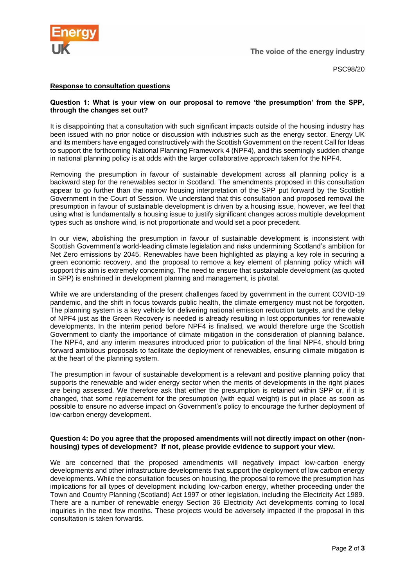

PSC98/20

### **Response to consultation questions**

#### **Question 1: What is your view on our proposal to remove 'the presumption' from the SPP, through the changes set out?**

It is disappointing that a consultation with such significant impacts outside of the housing industry has been issued with no prior notice or discussion with industries such as the energy sector. Energy UK and its members have engaged constructively with the Scottish Government on the recent Call for Ideas to support the forthcoming National Planning Framework 4 (NPF4), and this seemingly sudden change in national planning policy is at odds with the larger collaborative approach taken for the NPF4.

Removing the presumption in favour of sustainable development across all planning policy is a backward step for the renewables sector in Scotland. The amendments proposed in this consultation appear to go further than the narrow housing interpretation of the SPP put forward by the Scottish Government in the Court of Session. We understand that this consultation and proposed removal the presumption in favour of sustainable development is driven by a housing issue, however, we feel that using what is fundamentally a housing issue to justify significant changes across multiple development types such as onshore wind, is not proportionate and would set a poor precedent.

In our view, abolishing the presumption in favour of sustainable development is inconsistent with Scottish Government's world-leading climate legislation and risks undermining Scotland's ambition for Net Zero emissions by 2045. Renewables have been highlighted as playing a key role in securing a green economic recovery, and the proposal to remove a key element of planning policy which will support this aim is extremely concerning. The need to ensure that sustainable development (as quoted in SPP) is enshrined in development planning and management, is pivotal.

While we are understanding of the present challenges faced by government in the current COVID-19 pandemic, and the shift in focus towards public health, the climate emergency must not be forgotten. The planning system is a key vehicle for delivering national emission reduction targets, and the delay of NPF4 just as the Green Recovery is needed is already resulting in lost opportunities for renewable developments. In the interim period before NPF4 is finalised, we would therefore urge the Scottish Government to clarify the importance of climate mitigation in the consideration of planning balance. The NPF4, and any interim measures introduced prior to publication of the final NPF4, should bring forward ambitious proposals to facilitate the deployment of renewables, ensuring climate mitigation is at the heart of the planning system.

The presumption in favour of sustainable development is a relevant and positive planning policy that supports the renewable and wider energy sector when the merits of developments in the right places are being assessed. We therefore ask that either the presumption is retained within SPP or, if it is changed, that some replacement for the presumption (with equal weight) is put in place as soon as possible to ensure no adverse impact on Government's policy to encourage the further deployment of low-carbon energy development.

#### **Question 4: Do you agree that the proposed amendments will not directly impact on other (nonhousing) types of development? If not, please provide evidence to support your view.**

We are concerned that the proposed amendments will negatively impact low-carbon energy developments and other infrastructure developments that support the deployment of low carbon energy developments. While the consultation focuses on housing, the proposal to remove the presumption has implications for all types of development including low-carbon energy, whether proceeding under the Town and Country Planning (Scotland) Act 1997 or other legislation, including the Electricity Act 1989. There are a number of renewable energy Section 36 Electricity Act developments coming to local inquiries in the next few months. These projects would be adversely impacted if the proposal in this consultation is taken forwards.